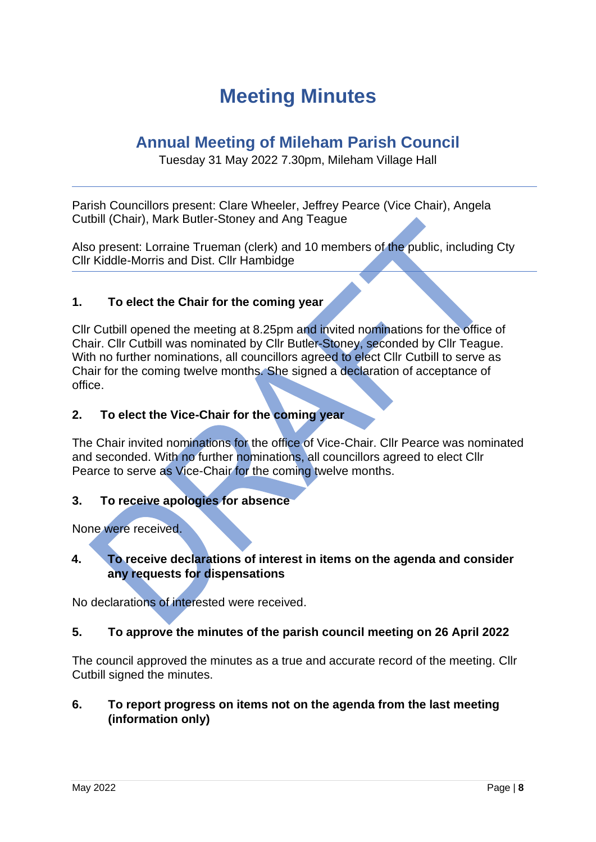# **Meeting Minutes**

## **Annual Meeting of Mileham Parish Council**

Tuesday 31 May 2022 7.30pm, Mileham Village Hall

Parish Councillors present: Clare Wheeler, Jeffrey Pearce (Vice Chair), Angela Cutbill (Chair), Mark Butler-Stoney and Ang Teague

Also present: Lorraine Trueman (clerk) and 10 members of the public, including Cty Cllr Kiddle-Morris and Dist. Cllr Hambidge

### **1. To elect the Chair for the coming year**

Cllr Cutbill opened the meeting at 8.25pm and invited nominations for the office of Chair. Cllr Cutbill was nominated by Cllr Butler-Stoney, seconded by Cllr Teague. With no further nominations, all councillors agreed to elect Cllr Cutbill to serve as Chair for the coming twelve months. She signed a declaration of acceptance of office.

### **2. To elect the Vice-Chair for the coming year**

The Chair invited nominations for the office of Vice-Chair. Cllr Pearce was nominated and seconded. With no further nominations, all councillors agreed to elect Cllr Pearce to serve as Vice-Chair for the coming twelve months.

### **3. To receive apologies for absence**

None were received.

### **4. To receive declarations of interest in items on the agenda and consider any requests for dispensations**

No declarations of interested were received.

#### **5. To approve the minutes of the parish council meeting on 26 April 2022**

The council approved the minutes as a true and accurate record of the meeting. Cllr Cutbill signed the minutes.

### **6. To report progress on items not on the agenda from the last meeting (information only)**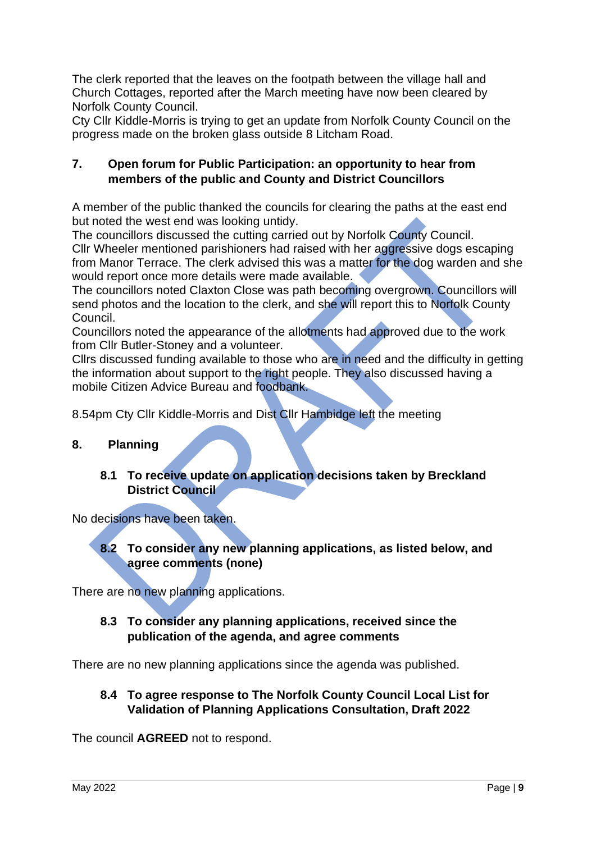The clerk reported that the leaves on the footpath between the village hall and Church Cottages, reported after the March meeting have now been cleared by Norfolk County Council.

Cty Cllr Kiddle-Morris is trying to get an update from Norfolk County Council on the progress made on the broken glass outside 8 Litcham Road.

### **7. Open forum for Public Participation: an opportunity to hear from members of the public and County and District Councillors**

A member of the public thanked the councils for clearing the paths at the east end but noted the west end was looking untidy.

The councillors discussed the cutting carried out by Norfolk County Council. Cllr Wheeler mentioned parishioners had raised with her aggressive dogs escaping from Manor Terrace. The clerk advised this was a matter for the dog warden and she would report once more details were made available.

The councillors noted Claxton Close was path becoming overgrown. Councillors will send photos and the location to the clerk, and she will report this to Norfolk County Council.

Councillors noted the appearance of the allotments had approved due to the work from Cllr Butler-Stoney and a volunteer.

Cllrs discussed funding available to those who are in need and the difficulty in getting the information about support to the right people. They also discussed having a mobile Citizen Advice Bureau and foodbank.

8.54pm Cty Cllr Kiddle-Morris and Dist Cllr Hambidge left the meeting

### **8. Planning**

**8.1 To receive update on application decisions taken by Breckland District Council** 

No decisions have been taken.

**8.2 To consider any new planning applications, as listed below, and agree comments (none)**

There are no new planning applications.

### **8.3 To consider any planning applications, received since the publication of the agenda, and agree comments**

There are no new planning applications since the agenda was published.

**8.4 To agree response to The Norfolk County Council Local List for Validation of Planning Applications Consultation, Draft 2022**

The council **AGREED** not to respond.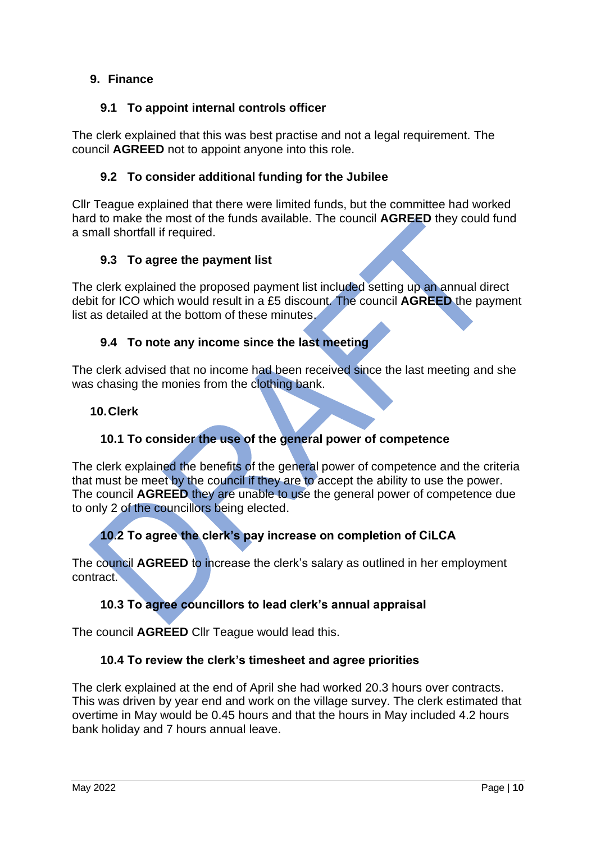### **9. Finance**

### **9.1 To appoint internal controls officer**

The clerk explained that this was best practise and not a legal requirement. The council **AGREED** not to appoint anyone into this role.

### **9.2 To consider additional funding for the Jubilee**

Cllr Teague explained that there were limited funds, but the committee had worked hard to make the most of the funds available. The council **AGREED** they could fund a small shortfall if required.

### **9.3 To agree the payment list**

The clerk explained the proposed payment list included setting up an annual direct debit for ICO which would result in a £5 discount. The council **AGREED** the payment list as detailed at the bottom of these minutes.

### **9.4 To note any income since the last meeting**

The clerk advised that no income had been received since the last meeting and she was chasing the monies from the clothing bank.

### **10.Clerk**

### **10.1 To consider the use of the general power of competence**

The clerk explained the benefits of the general power of competence and the criteria that must be meet by the council if they are to accept the ability to use the power. The council **AGREED** they are unable to use the general power of competence due to only 2 of the councillors being elected.

### **10.2 To agree the clerk's pay increase on completion of CiLCA**

The council **AGREED** to increase the clerk's salary as outlined in her employment contract.

### **10.3 To agree councillors to lead clerk's annual appraisal**

The council **AGREED** Cllr Teague would lead this.

### **10.4 To review the clerk's timesheet and agree priorities**

The clerk explained at the end of April she had worked 20.3 hours over contracts. This was driven by year end and work on the village survey. The clerk estimated that overtime in May would be 0.45 hours and that the hours in May included 4.2 hours bank holiday and 7 hours annual leave.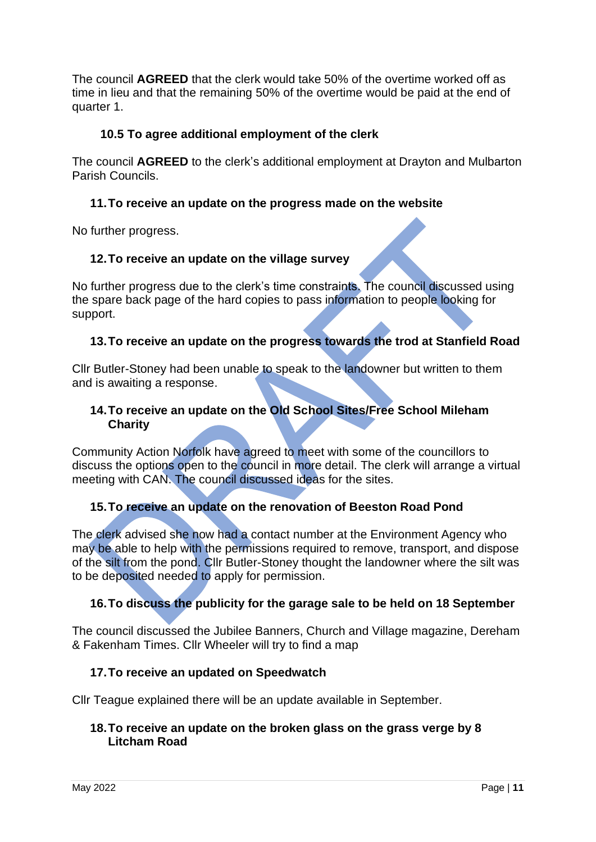The council **AGREED** that the clerk would take 50% of the overtime worked off as time in lieu and that the remaining 50% of the overtime would be paid at the end of quarter 1.

### **10.5 To agree additional employment of the clerk**

The council **AGREED** to the clerk's additional employment at Drayton and Mulbarton Parish Councils.

### **11.To receive an update on the progress made on the website**

No further progress.

### **12.To receive an update on the village survey**

No further progress due to the clerk's time constraints. The council discussed using the spare back page of the hard copies to pass information to people looking for support.

### **13.To receive an update on the progress towards the trod at Stanfield Road**

Cllr Butler-Stoney had been unable to speak to the landowner but written to them and is awaiting a response.

#### **14.To receive an update on the Old School Sites/Free School Mileham Charity**

Community Action Norfolk have agreed to meet with some of the councillors to discuss the options open to the council in more detail. The clerk will arrange a virtual meeting with CAN. The council discussed ideas for the sites.

### **15.To receive an update on the renovation of Beeston Road Pond**

The clerk advised she now had a contact number at the Environment Agency who may be able to help with the permissions required to remove, transport, and dispose of the silt from the pond. Cllr Butler-Stoney thought the landowner where the silt was to be deposited needed to apply for permission.

### **16.To discuss the publicity for the garage sale to be held on 18 September**

The council discussed the Jubilee Banners, Church and Village magazine, Dereham & Fakenham Times. Cllr Wheeler will try to find a map

### **17.To receive an updated on Speedwatch**

Cllr Teague explained there will be an update available in September.

#### **18.To receive an update on the broken glass on the grass verge by 8 Litcham Road**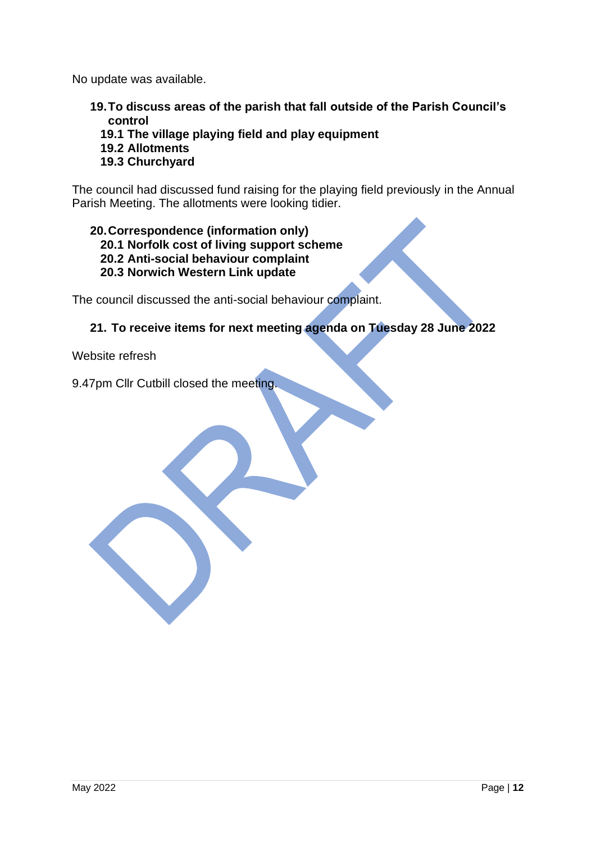No update was available.

- **19.To discuss areas of the parish that fall outside of the Parish Council's control**
	- **19.1 The village playing field and play equipment**
	- **19.2 Allotments**

### **19.3 Churchyard**

The council had discussed fund raising for the playing field previously in the Annual Parish Meeting. The allotments were looking tidier.

### **20.Correspondence (information only)**

- **20.1 Norfolk cost of living support scheme**
- **20.2 Anti-social behaviour complaint**
- **20.3 Norwich Western Link update**

The council discussed the anti-social behaviour complaint.

### **21. To receive items for next meeting agenda on Tuesday 28 June 2022**

Website refresh

9.47pm Cllr Cutbill closed the meeting.